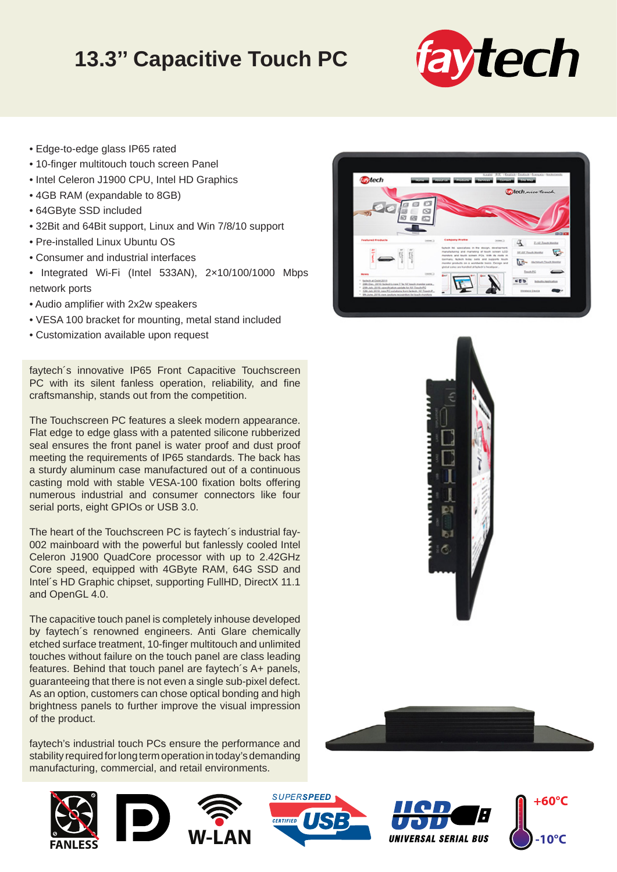## **13.3'' Capacitive Touch PC**



- Edge-to-edge glass IP65 rated
- 10-finger multitouch touch screen Panel
- Intel Celeron J1900 CPU, Intel HD Graphics
- 4GB RAM (expandable to 8GB)
- 64GByte SSD included
- 32Bit and 64Bit support, Linux and Win 7/8/10 support
- Pre-installed Linux Ubuntu OS
- Consumer and industrial interfaces
- Integrated Wi-Fi (Intel 533AN), 2×10/100/1000 Mbps network ports
- Audio amplifier with 2x2w speakers
- VESA 100 bracket for mounting, metal stand included
- Customization available upon request

faytech´s innovative IP65 Front Capacitive Touchscreen PC with its silent fanless operation, reliability, and fine craftsmanship, stands out from the competition.

The Touchscreen PC features a sleek modern appearance. Flat edge to edge glass with a patented silicone rubberized seal ensures the front panel is water proof and dust proof meeting the requirements of IP65 standards. The back has a sturdy aluminum case manufactured out of a continuous casting mold with stable VESA-100 fixation bolts offering numerous industrial and consumer connectors like four serial ports, eight GPIOs or USB 3.0.

The heart of the Touchscreen PC is faytech´s industrial fay-002 mainboard with the powerful but fanlessly cooled Intel Celeron J1900 QuadCore processor with up to 2.42GHz Core speed, equipped with 4GByte RAM, 64G SSD and Intel's HD Graphic chipset, supporting FullHD, DirectX 11.1 and OpenGL 4.0.

The capacitive touch panel is completely inhouse developed by faytech´s renowned engineers. Anti Glare chemically etched surface treatment, 10-finger multitouch and unlimited touches without failure on the touch panel are class leading features. Behind that touch panel are faytech´s A+ panels, guaranteeing that there is not even a single sub-pixel defect. As an option, customers can chose optical bonding and high brightness panels to further improve the visual impression of the product.

faytech's industrial touch PCs ensure the performance and stability required for long term operation in today's demanding manufacturing, commercial, and retail environments.